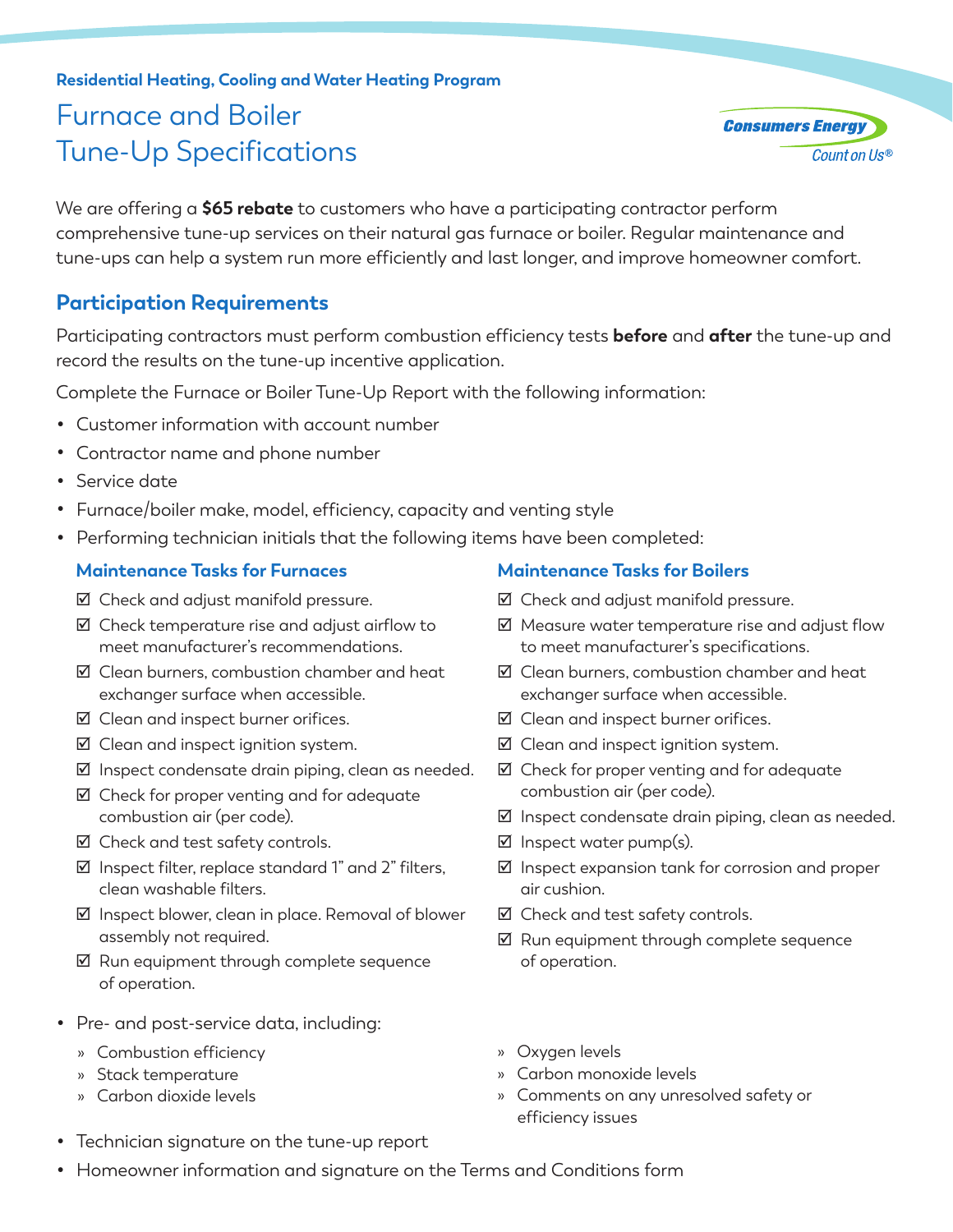# **Residential Heating, Cooling and Water Heating Program** Furnace and Boiler Tune-Up Specifications

We are offering a **\$65 rebate** to customers who have a participating contractor perform comprehensive tune-up services on their natural gas furnace or boiler. Regular maintenance and tune-ups can help a system run more efficiently and last longer, and improve homeowner comfort.

### **Participation Requirements**

Participating contractors must perform combustion efficiency tests **before** and **after** the tune-up and record the results on the tune-up incentive application.

Complete the Furnace or Boiler Tune-Up Report with the following information:

- Customer information with account number
- Contractor name and phone number
- Service date
- Furnace/boiler make, model, efficiency, capacity and venting style
- Performing technician initials that the following items have been completed:

#### **Maintenance Tasks for Furnaces**

- $\boxtimes$  Check and adjust manifold pressure.
- $\boxtimes$  Check temperature rise and adjust airflow to meet manufacturer's recommendations.
- $\nabla$  Clean burners, combustion chamber and heat exchanger surface when accessible.
- $\boxtimes$  Clean and inspect burner orifices.
- $\nabla$  Clean and inspect ignition system.
- $\nabla$  Inspect condensate drain piping, clean as needed.
- $\boxtimes$  Check for proper venting and for adequate combustion air (per code).
- $\boxtimes$  Check and test safety controls.
- $\boxtimes$  Inspect filter, replace standard 1" and 2" filters. clean washable filters.
- þ Inspect blower, clean in place. Removal of blower assembly not required.
- $\boxtimes$  Run equipment through complete sequence of operation.
- Pre- and post-service data, including:
	- » Combustion efficiency
	- » Stack temperature
	- » Carbon dioxide levels

#### • Technician signature on the tune-up report

#### **Maintenance Tasks for Boilers**

- $\boxtimes$  Check and adjust manifold pressure.
- $\boxtimes$  Measure water temperature rise and adjust flow to meet manufacturer's specifications.
- $\nabla$  Clean burners, combustion chamber and heat exchanger surface when accessible.
- $\nabla$  Clean and inspect burner orifices.
- $\nabla$  Clean and inspect ignition system.
- $\boxtimes$  Check for proper venting and for adequate combustion air (per code).
- $\boxtimes$  Inspect condensate drain piping, clean as needed.
- $\boxtimes$  Inspect water pump(s).
- $\nabla$  Inspect expansion tank for corrosion and proper air cushion.
- $\boxtimes$  Check and test safety controls.
- $\nabla$  Run equipment through complete sequence of operation.
- » Oxygen levels
- » Carbon monoxide levels
- » Comments on any unresolved safety or efficiency issues
- Homeowner information and signature on the Terms and Conditions form